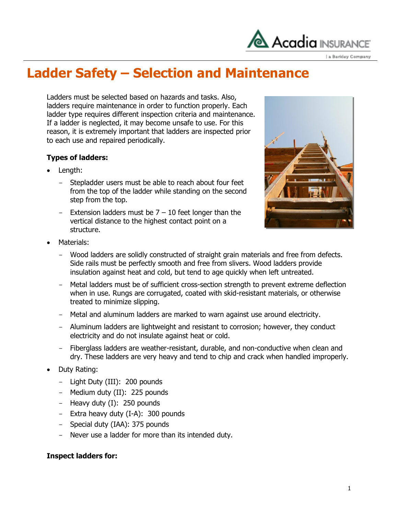

a Berkley Company

## **Ladder Safety – Selection and Maintenance**

Ladders must be selected based on hazards and tasks. Also, ladders require maintenance in order to function properly. Each ladder type requires different inspection criteria and maintenance. If a ladder is neglected, it may become unsafe to use. For this reason, it is extremely important that ladders are inspected prior to each use and repaired periodically.

### **Types of ladders:**

- Length:
	- Stepladder users must be able to reach about four feet from the top of the ladder while standing on the second step from the top.
	- Extension ladders must be  $7 10$  feet longer than the vertical distance to the highest contact point on a structure.



- Materials:
	- Wood ladders are solidly constructed of straight grain materials and free from defects. Side rails must be perfectly smooth and free from slivers. Wood ladders provide insulation against heat and cold, but tend to age quickly when left untreated.
	- Metal ladders must be of sufficient cross-section strength to prevent extreme deflection when in use. Rungs are corrugated, coated with skid-resistant materials, or otherwise treated to minimize slipping.
	- Metal and aluminum ladders are marked to warn against use around electricity.
	- Aluminum ladders are lightweight and resistant to corrosion; however, they conduct electricity and do not insulate against heat or cold.
	- Fiberglass ladders are weather-resistant, durable, and non-conductive when clean and dry. These ladders are very heavy and tend to chip and crack when handled improperly.
- Duty Rating:
	- Light Duty (III): 200 pounds
	- Medium duty (II): 225 pounds
	- Heavy duty (I): 250 pounds
	- Extra heavy duty (I-A): 300 pounds
	- Special duty (IAA): 375 pounds
	- Never use a ladder for more than its intended duty.

#### **Inspect ladders for:**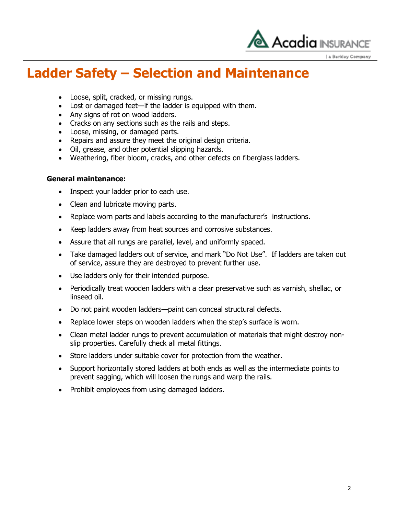

a Berkley Company

## **Ladder Safety – Selection and Maintenance**

- Loose, split, cracked, or missing rungs.
- Lost or damaged feet—if the ladder is equipped with them.
- Any signs of rot on wood ladders.
- Cracks on any sections such as the rails and steps.
- Loose, missing, or damaged parts.
- Repairs and assure they meet the original design criteria.
- Oil, grease, and other potential slipping hazards.
- Weathering, fiber bloom, cracks, and other defects on fiberglass ladders.

#### **General maintenance:**

- Inspect your ladder prior to each use.
- Clean and lubricate moving parts.
- Replace worn parts and labels according to the manufacturer's instructions.
- Keep ladders away from heat sources and corrosive substances.
- Assure that all rungs are parallel, level, and uniformly spaced.
- Take damaged ladders out of service, and mark "Do Not Use". If ladders are taken out of service, assure they are destroyed to prevent further use.
- Use ladders only for their intended purpose.
- Periodically treat wooden ladders with a clear preservative such as varnish, shellac, or linseed oil.
- Do not paint wooden ladders—paint can conceal structural defects.
- Replace lower steps on wooden ladders when the step's surface is worn.
- Clean metal ladder rungs to prevent accumulation of materials that might destroy nonslip properties. Carefully check all metal fittings.
- Store ladders under suitable cover for protection from the weather.
- Support horizontally stored ladders at both ends as well as the intermediate points to prevent sagging, which will loosen the rungs and warp the rails.
- Prohibit employees from using damaged ladders.